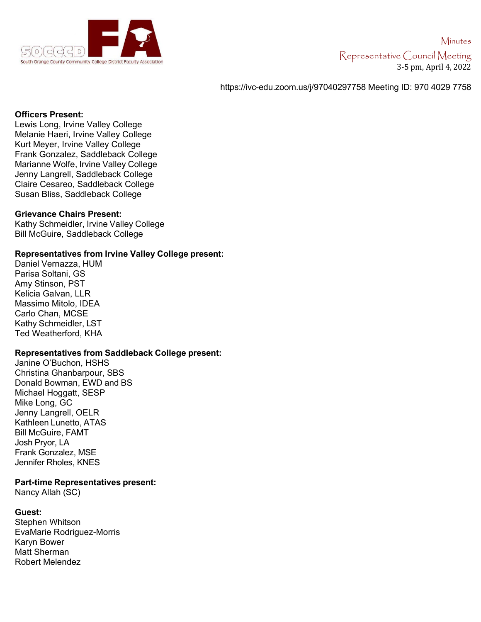

https://ivc-edu.zoom.us/j/97040297758 Meeting ID: 970 4029 7758

### **Officers Present:**

Lewis Long, Irvine Valley College Melanie Haeri, Irvine Valley College Kurt Meyer, Irvine Valley College Frank Gonzalez, Saddleback College Marianne Wolfe, Irvine Valley College Jenny Langrell, Saddleback College Claire Cesareo, Saddleback College Susan Bliss, Saddleback College

## **Grievance Chairs Present:**

Kathy Schmeidler, Irvine Valley College Bill McGuire, Saddleback College

#### **Representatives from Irvine Valley College present:**

Daniel Vernazza, HUM Parisa Soltani, GS Amy Stinson, PST Kelicia Galvan, LLR Massimo Mitolo, IDEA Carlo Chan, MCSE Kathy Schmeidler, LST Ted Weatherford, KHA

## **Representatives from Saddleback College present:**

Janine O'Buchon, HSHS Christina Ghanbarpour, SBS Donald Bowman, EWD and BS Michael Hoggatt, SESP Mike Long, GC Jenny Langrell, OELR Kathleen Lunetto, ATAS Bill McGuire, FAMT Josh Pryor, LA Frank Gonzalez, MSE Jennifer Rholes, KNES

#### **Part-time Representatives present:**

Nancy Allah (SC)

#### **Guest:**

Stephen Whitson EvaMarie Rodriguez-Morris Karyn Bower Matt Sherman Robert Melendez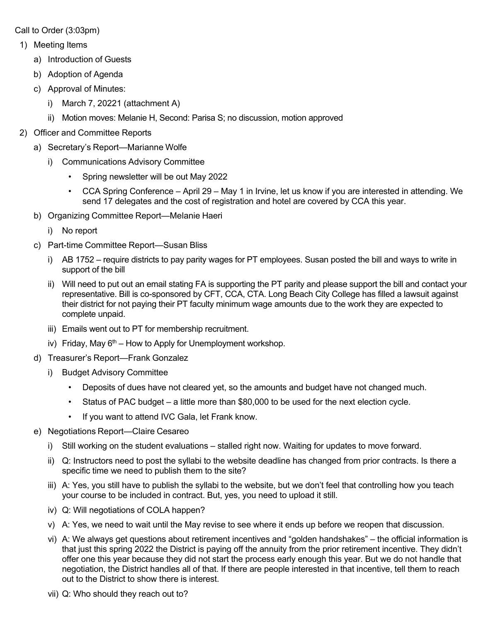Call to Order (3:03pm)

- 1) Meeting Items
	- a) Introduction of Guests
	- b) Adoption of Agenda
	- c) Approval of Minutes:
		- i) March 7, 20221 (attachment A)
		- ii) Motion moves: Melanie H, Second: Parisa S; no discussion, motion approved
- 2) Officer and Committee Reports
	- a) Secretary's Report—Marianne Wolfe
		- i) Communications Advisory Committee
			- Spring newsletter will be out May 2022
			- CCA Spring Conference April 29 May 1 in Irvine, let us know if you are interested in attending. We send 17 delegates and the cost of registration and hotel are covered by CCA this year.
	- b) Organizing Committee Report—Melanie Haeri
		- i) No report
	- c) Part-time Committee Report—Susan Bliss
		- i) AB 1752 require districts to pay parity wages for PT employees. Susan posted the bill and ways to write in support of the bill
		- ii) Will need to put out an email stating FA is supporting the PT parity and please support the bill and contact your representative. Bill is co-sponsored by CFT, CCA, CTA. Long Beach City College has filled a lawsuit against their district for not paying their PT faculty minimum wage amounts due to the work they are expected to complete unpaid.
		- iii) Emails went out to PT for membership recruitment.
		- iv) Friday, May  $6<sup>th</sup>$  How to Apply for Unemployment workshop.
	- d) Treasurer's Report—Frank Gonzalez
		- i) Budget Advisory Committee
			- Deposits of dues have not cleared yet, so the amounts and budget have not changed much.
			- Status of PAC budget a little more than \$80,000 to be used for the next election cycle.
			- If you want to attend IVC Gala, let Frank know.
	- e) Negotiations Report—Claire Cesareo
		- i) Still working on the student evaluations stalled right now. Waiting for updates to move forward.
		- ii) Q: Instructors need to post the syllabi to the website deadline has changed from prior contracts. Is there a specific time we need to publish them to the site?
		- iii) A: Yes, you still have to publish the syllabi to the website, but we don't feel that controlling how you teach your course to be included in contract. But, yes, you need to upload it still.
		- iv) Q: Will negotiations of COLA happen?
		- v) A: Yes, we need to wait until the May revise to see where it ends up before we reopen that discussion.
		- vi) A: We always get questions about retirement incentives and "golden handshakes" the official information is that just this spring 2022 the District is paying off the annuity from the prior retirement incentive. They didn't offer one this year because they did not start the process early enough this year. But we do not handle that negotiation, the District handles all of that. If there are people interested in that incentive, tell them to reach out to the District to show there is interest.
		- vii) Q: Who should they reach out to?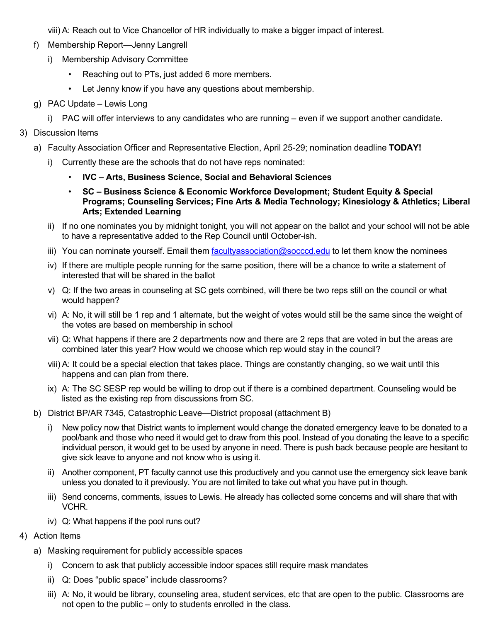viii) A: Reach out to Vice Chancellor of HR individually to make a bigger impact of interest.

- f) Membership Report—Jenny Langrell
	- i) Membership Advisory Committee
		- Reaching out to PTs, just added 6 more members.
		- Let Jenny know if you have any questions about membership.
- g) PAC Update Lewis Long
	- i) PAC will offer interviews to any candidates who are running even if we support another candidate.

# 3) Discussion Items

- a) Faculty Association Officer and Representative Election, April 25-29; nomination deadline **TODAY!** 
	- i) Currently these are the schools that do not have reps nominated:
		- **IVC Arts, Business Science, Social and Behavioral Sciences**
		- **SC Business Science & Economic Workforce Development; Student Equity & Special Programs; Counseling Services; Fine Arts & Media Technology; Kinesiology & Athletics; Liberal Arts; Extended Learning**
	- ii) If no one nominates you by midnight tonight, you will not appear on the ballot and your school will not be able to have a representative added to the Rep Council until October-ish.
	- iii) You can nominate yourself. Email them [facultyassociation@socccd.edu](mailto:facultyassociation@socccd.edu) to let them know the nominees
	- iv) If there are multiple people running for the same position, there will be a chance to write a statement of interested that will be shared in the ballot
	- v) Q: If the two areas in counseling at SC gets combined, will there be two reps still on the council or what would happen?
	- vi) A: No, it will still be 1 rep and 1 alternate, but the weight of votes would still be the same since the weight of the votes are based on membership in school
	- vii) Q: What happens if there are 2 departments now and there are 2 reps that are voted in but the areas are combined later this year? How would we choose which rep would stay in the council?
	- viii) A: It could be a special election that takes place. Things are constantly changing, so we wait until this happens and can plan from there.
	- ix) A: The SC SESP rep would be willing to drop out if there is a combined department. Counseling would be listed as the existing rep from discussions from SC.
- b) District BP/AR 7345, Catastrophic Leave—District proposal (attachment B)
	- i) New policy now that District wants to implement would change the donated emergency leave to be donated to a pool/bank and those who need it would get to draw from this pool. Instead of you donating the leave to a specific individual person, it would get to be used by anyone in need. There is push back because people are hesitant to give sick leave to anyone and not know who is using it.
	- ii) Another component, PT faculty cannot use this productively and you cannot use the emergency sick leave bank unless you donated to it previously. You are not limited to take out what you have put in though.
	- iii) Send concerns, comments, issues to Lewis. He already has collected some concerns and will share that with VCHR.
	- iv) Q: What happens if the pool runs out?
- 4) Action Items
	- a) Masking requirement for publicly accessible spaces
		- i) Concern to ask that publicly accessible indoor spaces still require mask mandates
		- ii) Q: Does "public space" include classrooms?
		- iii) A: No, it would be library, counseling area, student services, etc that are open to the public. Classrooms are not open to the public – only to students enrolled in the class.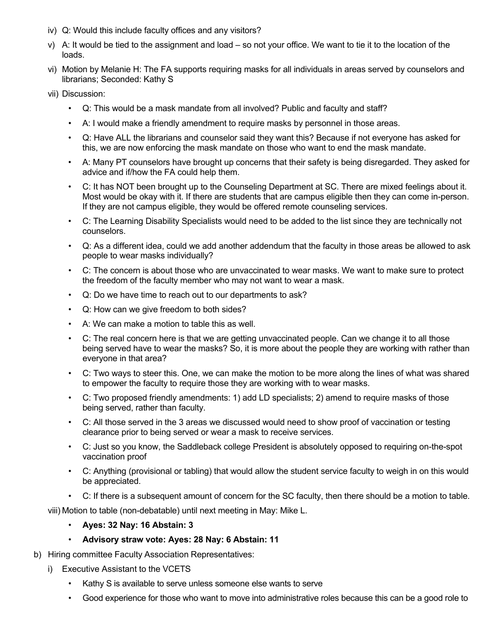- iv) Q: Would this include faculty offices and any visitors?
- v) A: It would be tied to the assignment and load so not your office. We want to tie it to the location of the loads.
- vi) Motion by Melanie H: The FA supports requiring masks for all individuals in areas served by counselors and librarians; Seconded: Kathy S
- vii) Discussion:
	- Q: This would be a mask mandate from all involved? Public and faculty and staff?
	- A: I would make a friendly amendment to require masks by personnel in those areas.
	- Q: Have ALL the librarians and counselor said they want this? Because if not everyone has asked for this, we are now enforcing the mask mandate on those who want to end the mask mandate.
	- A: Many PT counselors have brought up concerns that their safety is being disregarded. They asked for advice and if/how the FA could help them.
	- C: It has NOT been brought up to the Counseling Department at SC. There are mixed feelings about it. Most would be okay with it. If there are students that are campus eligible then they can come in-person. If they are not campus eligible, they would be offered remote counseling services.
	- C: The Learning Disability Specialists would need to be added to the list since they are technically not counselors.
	- Q: As a different idea, could we add another addendum that the faculty in those areas be allowed to ask people to wear masks individually?
	- C: The concern is about those who are unvaccinated to wear masks. We want to make sure to protect the freedom of the faculty member who may not want to wear a mask.
	- Q: Do we have time to reach out to our departments to ask?
	- Q: How can we give freedom to both sides?
	- A: We can make a motion to table this as well.
	- C: The real concern here is that we are getting unvaccinated people. Can we change it to all those being served have to wear the masks? So, it is more about the people they are working with rather than everyone in that area?
	- C: Two ways to steer this. One, we can make the motion to be more along the lines of what was shared to empower the faculty to require those they are working with to wear masks.
	- C: Two proposed friendly amendments: 1) add LD specialists; 2) amend to require masks of those being served, rather than faculty.
	- C: All those served in the 3 areas we discussed would need to show proof of vaccination or testing clearance prior to being served or wear a mask to receive services.
	- C: Just so you know, the Saddleback college President is absolutely opposed to requiring on-the-spot vaccination proof
	- C: Anything (provisional or tabling) that would allow the student service faculty to weigh in on this would be appreciated.
	- C: If there is a subsequent amount of concern for the SC faculty, then there should be a motion to table.

viii) Motion to table (non-debatable) until next meeting in May: Mike L.

- **Ayes: 32 Nay: 16 Abstain: 3**
- **Advisory straw vote: Ayes: 28 Nay: 6 Abstain: 11**
- b) Hiring committee Faculty Association Representatives:
	- i) Executive Assistant to the VCETS
		- Kathy S is available to serve unless someone else wants to serve
		- Good experience for those who want to move into administrative roles because this can be a good role to